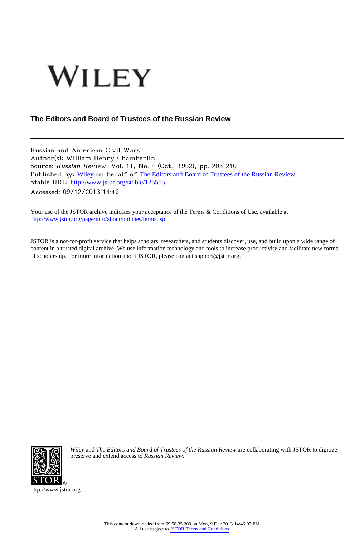## WILEY

## **The Editors and Board of Trustees of the Russian Review**

Russian and American Civil Wars Author(s): William Henry Chamberlin Source: Russian Review, Vol. 11, No. 4 (Oct., 1952), pp. 203-210 Published by: [Wiley](http://www.jstor.org/action/showPublisher?publisherCode=black) on behalf of [The Editors and Board of Trustees of the Russian Review](http://www.jstor.org/action/showPublisher?publisherCode=russrev_pub) Stable URL: http://www.jstor.org/stable/125555 Accessed: 09/12/2013 14:46

Your use of the JSTOR archive indicates your acceptance of the Terms & Conditions of Use, available at <http://www.jstor.org/page/info/about/policies/terms.jsp>

JSTOR is a not-for-profit service that helps scholars, researchers, and students discover, use, and build upon a wide range of content in a trusted digital archive. We use information technology and tools to increase productivity and facilitate new forms of scholarship. For more information about JSTOR, please contact support@jstor.org.



*Wiley* and *The Editors and Board of Trustees of the Russian Review* are collaborating with JSTOR to digitize, preserve and extend access to *Russian Review.*

http://www.jstor.org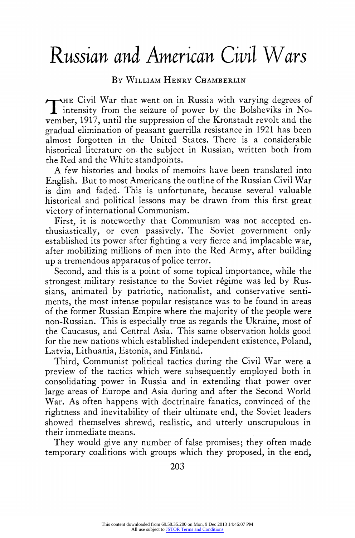## **Russian and American Civil Wars**

## **BY WILLIAM HENRY CHAMBERLIN**

**HE Civil War that went on in Russia with varying degrees of intensity from the seizure of power by the Bolsheviks in November, 1917, until the suppression of the Kronstadt revolt and the gradual elimination of peasant guerrilla resistance in 1921 has been almost forgotten in the United States. There is a considerable historical literature on the subject in Russian, written both from the Red and the White standpoints.** 

**A few histories and books of memoirs have been translated into English. But to most Americans the outline of the Russian Civil War is dim and faded. This is unfortunate, because several valuable historical and political lessons may be drawn from this first great victory of international Communism.** 

**First, it is noteworthy that Communism was not accepted enthusiastically, or even passively. The Soviet government only established its power after fighting a very fierce and implacable war, after mobilizing millions of men into the Red Army, after building up a tremendous apparatus of police terror.** 

**Second, and this is a point of some topical importance, while the strongest military resistance to the Soviet regime was led by Russians, animated by patriotic, nationalist, and conservative sentiments, the most intense popular resistance was to be found in areas of the former Russian Empire where the majority of the people were non-Russian. This is especially true as regards the Ukraine, most of the Caucasus, and Central Asia. This same observation holds good for the new nations which established independent existence, Poland, Latvia, Lithuania, Estonia, and Finland.** 

**Third, Communist political tactics during the Civil War were a preview of the tactics which were subsequently employed both in consolidating power in Russia and in extending that power over large areas of Europe and Asia during and after the Second World War. As often happens with doctrinaire fanatics, convinced of the rightness and inevitability of their ultimate end, the Soviet leaders showed themselves shrewd, realistic, and utterly unscrupulous in their immediate means.** 

**They would give any number of false promises; they often made temporary coalitions with groups which they proposed, in the end,** 

**203**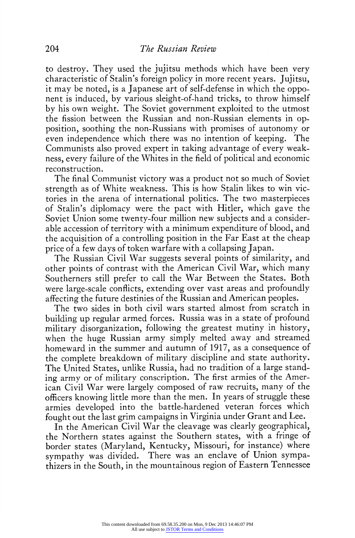**to destroy. They used the jujitsu methods which have been very characteristic of Stalin's foreign policy in more recent years. Jujitsu, it may be noted, is a Japanese art of self-defense in which the opponent is induced, by various sleight-of-hand tricks, to throw himself by his own weight. The Soviet government exploited to the utmost the fission between the Russian and non-Russian elements in opposition, soothing the non-Russians with promises of autonomy or**  even independence which there was no intention of keeping. **Communists also proved expert in taking advantage of every weakness, every failure of the Whites in the field of political and economic reconstruction.** 

**The final Communist victory was a product not so much of Soviet strength as of White weakness. This is how Stalin likes to win victories in the arena of international politics. The two masterpieces of Stalin's diplomacy were the pact with Hitler, which gave the Soviet Union some twenty-four million new subjects and a considerable accession of territory with a minimum expenditure of blood, and the acquisition of a controlling position in the Far East at the cheap price of a few days of token warfare with a collapsing Japan.** 

**The Russian Civil War suggests several points of similarity, and other points of contrast with the American Civil War, which many Southerners still prefer to call the War Between the States. Both were large-scale conflicts, extending over vast areas and profoundly affecting the future destinies of the Russian and American peoples.** 

**The two sides in both civil wars started almost from scratch in building up regular armed forces. Russia was in a state of profound military disorganization, following the greatest mutiny in history, when the huge Russian army simply melted away and streamed homeward in the summer and autumn of 1917, as a consequence of the complete breakdown of military discipline and state authority. The United States, unlike Russia, had no tradition of a large standing army or of military conscription. The first armies of the American Civil War were largely composed of raw recruits, many of the officers knowing little more than the men. In years of struggle these armies developed into the battle-hardened veteran forces which fought out the last grim campaigns in Virginia under Grant and Lee.** 

**In the American Civil War the cleavage was clearly geographical, the Northern states against the Southern states, with a fringe of border states (Maryland, Kentucky, Missouri, for instance) where sympathy was divided. There was an enclave of Union sympathizers in the South, in the mountainous region of Eastern Tennessee**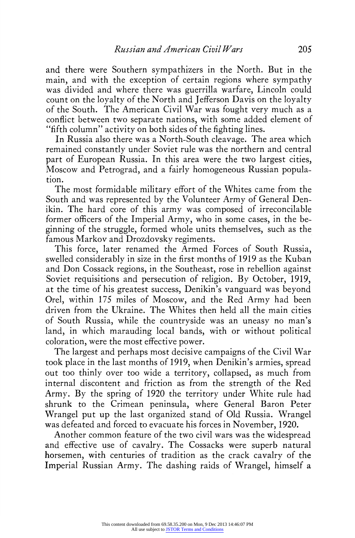**and there were Southern sympathizers in the North. But in the main, and with the exception of certain regions where sympathy was divided and where there was guerrilla warfare, Lincoln could count on the loyalty of the North and Jefferson Davis on the loyalty of the South. The American Civil War was fought very much as a conflict between two separate nations, with some added element of "fifth column" activity on both sides of the fighting lines.** 

**In Russia also there was a North-South cleavage. The area which remained constantly under Soviet rule was the northern and central part of European Russia. In this area were the two largest cities, Moscow and Petrograd, and a fairly homogeneous Russian population.** 

**The most formidable military effort of the Whites came from the South and was represented by the Volunteer Army of General Denikin. The hard core of this army was composed of irreconcilable former officers of the Imperial Army, who in some cases, in the beginning of the struggle, formed whole units themselves, such as the famous Markov and Drozdovsky regiments.** 

**This force, later renamed the Armed Forces of South Russia, swelled considerably in size in the first months of 1919 as the Kuban and Don Cossack regions, in the Southeast, rose in rebellion against Soviet requisitions and persecution of religion. By October, 1919, at the time of his greatest success, Denikin's vanguard was beyond Orel, within 175 miles of Moscow, and the Red Army had been driven from the Ukraine. The Whites then held all the main cities of South Russia, while the countryside was an uneasy no man's land, in which marauding local bands, with or without political coloration, were the most effective power.** 

**The largest and perhaps most decisive campaigns of the Civil War took place in the last months of 1919, when Denikin's armies, spread out too thinly over too wide a territory, collapsed, as much from internal discontent and friction as from the strength of the Red Army. By the spring of 1920 the territory under White rule had shrunk to the Crimean peninsula, where General Baron Peter Wrangel put up the last organized stand of Old Russia. Wrangel was defeated and forced to evacuate his forces in November, 1920.** 

**Another common feature of the two civil wars was the widespread and effective use of cavalry. The Cossacks were superb natural horsemen, with centuries of tradition as the crack cavalry of the Imperial Russian Army. The dashing raids of Wrangel, himself a**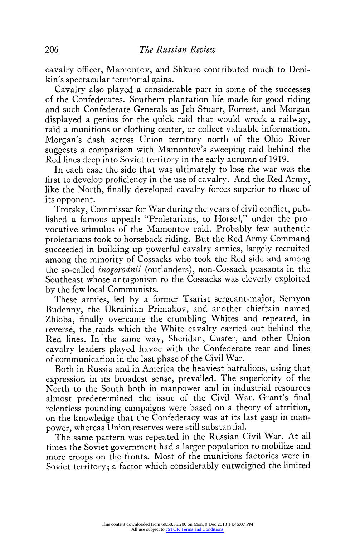**cavalry officer, Mamontov, and Shkuro contributed much to Denikin's spectacular territorial gains.** 

**Cavalry also played a considerable part in some of the successes of the Confederates. Southern plantation life made for good riding and such Confederate Generals as Jeb Stuart, Forrest, and Morgan displayed a genius for the quick raid that would wreck a railway, raid a munitions or clothing center, or collect valuable information. Morgan's dash across Union territory north of the Ohio River suggests a comparison with Mamontov's sweeping raid behind the Red lines deep into Soviet territory in the early autumn of 1919.** 

**In each case the side that was ultimately to lose the war was the first to develop proficiency in the use of cavalry. And the Red Army, like the North, finally developed cavalry forces superior to those of its opponent.** 

**Trotsky, Commissar for War during the years of civil conflict, published a famous appeal: "Proletarians, to Horse!," under the provocative stimulus of the Mamontov raid. Probably few authentic proletarians took to horseback riding. But the Red Army Command succeeded in building up powerful cavalry armies, largely recruited among the minority of Cossacks who took the Red side and among the so-called inogorodnii (outlanders), non-Cossack peasants in the Southeast whose antagonism to the Cossacks was cleverly exploited by the few local Communists.** 

**These armies, led by a former Tsarist sergeant-major, Semyon Budenny, the Ukrainian Primakov, and another chieftain named Zhloba, finally overcame the crumbling Whites and repeated, in reverse, the raids which the White cavalry carried out behind the Red lines. In the same way, Sheridan, Custer, and other Union cavalry leaders played havoc with the Confederate rear and lines of communication in the last phase of the Civil War.** 

**Both in Russia and in America the heaviest battalions, using that expression in its broadest sense, prevailed. The superiority of the North to the South both in manpower and in industrial resources almost predetermined the issue of the Civil War. Grant's final relentless pounding campaigns were based on a theory of attrition, on the knowledge that the Confederacy was at its last gasp in manpower, whereas Union, reserves were still substantial.** 

**The same pattern was repeated in the Russian Civil War. At all times the Soviet government had a larger population to mobilize and more troops on the fronts. Most of the munitions factories were in Soviet territory; a factor which considerably outweighed the limited**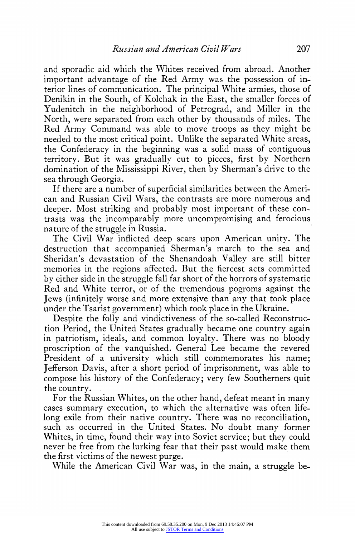**and sporadic aid which the Whites received from abroad. Another important advantage of the Red Army was the possession of interior lines of communication. The principal White armies, those of Denikin in the South, of Kolchak in the East, the smaller forces of Yudenitch in the neighborhood of Petrograd, and Miller in the North, were separated from each other by thousands of miles. The Red Army Command was able to move troops as they might be needed to the most critical point. Unlike the separated White areas, the Confederacy in the beginning was a solid mass of contiguous territory. But it was gradually cut to pieces, first by Northern domination of the Mississippi River, then by Sherman's drive to the sea through Georgia.** 

**If there are a number of superficial similarities between the American and Russian Civil Wars, the contrasts are more numerous and deeper. Most striking and probably most important of these contrasts was the incomparably more uncompromising and ferocious nature of the struggle in Russia.** 

**The Civil War inflicted deep scars upon American unity. The destruction that accompanied Sherman's march to the sea and Sheridan's devastation of the Shenandoah Valley are still bitter memories in the regions affected. But the fiercest acts committed by either side in the struggle fall far short of the horrors of systematic Red and White terror, or of the tremendous pogroms against the Jews (infinitely worse and more extensive than any that took place under the Tsarist government) which took place in the Ukraine.** 

**Despite the folly and vindictiveness of the so-called Reconstruction Period, the United States gradually became one country again in patriotism, ideals, and common loyalty. There was no bloody proscription of the vanquished. General Lee became the revered President of a university which still commemorates his name; Jefferson Davis, after a short period of imprisonment, was able to compose his history of the Confederacy; very few Southerners quit the country.** 

**For the Russian Whites, on the other hand, defeat meant in many cases summary execution, to which the alternative was often lifelong exile from their native country. There was no reconciliation, such as occurred in the United States. No doubt many former Whites, in time, found their way into Soviet service; but they could never be free from the lurking fear that their past would make them the first victims of the newest purge.** 

**While the American Civil War was, in the main, a struggle be-**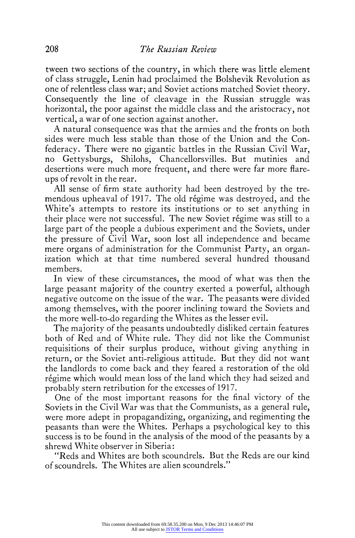**tween two sections of the country, in which there was little element of class struggle, Lenin had proclaimed the Bolshevik Revolution as one of relentless class war; and Soviet actions matched Soviet theory. Consequently the line of cleavage in the Russian struggle was horizontal, the poor against the middle class and the aristocracy, not vertical, a war of one section against another.** 

**A natural consequence was that the armies and the fronts on both sides were much less stable than those of the Union and the Confederacy. There were no gigantic battles in the Russian Civil War, no Gettysburgs, Shilohs, Chancellorsvilles. But mutinies and desertions were much more frequent, and there were far more flareups of revolt in the rear.** 

**All sense of firm state authority had been destroyed by the tre**mendous upheaval of 1917. The old régime was destroyed, and the **White's attempts to restore its institutions or to set anything in their place were not successful. The new Soviet regime was still to a large part of the people a dubious experiment and the Soviets, under the pressure of Civil War, soon lost all independence and became mere organs of administration for the Communist Party, an organization which at that time numbered several hundred thousand members.** 

**In view of these circumstances, the mood of what was then the large peasant majority of the country exerted a powerful, although negative outcome on the issue of the war. The peasants were divided among themselves, with the poorer inclining toward the Soviets and the more well-to-do regarding the Whites as the lesser evil.** 

**The majority of the peasants undoubtedly disliked certain features both of Red and of White rule. They did not like the Communist requisitions of their surplus produce, without giving anything in return, or the Soviet anti-religious attitude. But they did not want the landlords to come back and they feared a restoration of the old regime which would mean loss of the land which they had seized and probably stern retribution for the excesses of 1917.** 

**One of the most important reasons for the final victory of the Soviets in the Civil War was that the Communists, as a general rule, were more adept in propagandizing, organizing, and regimenting the peasants than were the Whites. Perhaps a psychological key to this success is to be found in the analysis of the mood of the peasants by a shrewd White observer in Siberia:** 

**"Reds and Whites are both scoundrels. But the Reds are our kind of scoundrels. The Whites are alien scoundrels."**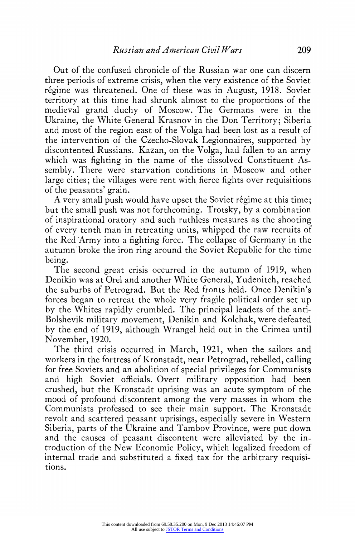**Out of the confused chronicle of the Russian war one can discern three periods of extreme crisis, when the very existence of the Soviet regime was threatened. One of these was in August, 1918. Soviet territory at this time had shrunk almost to the proportions of the medieval grand duchy of Moscow. The Germans were in the Ukraine, the White General Krasnov in the Don Territory; Siberia and most of the region east of the Volga had been lost as a result of the intervention of the Czecho-Slovak Legionnaires, supported by discontented Russians. Kazan, on the Volga, had fallen to an army which was fighting in the name of the dissolved Constituent Assembly. There were starvation conditions in Moscow and other large cities; the villages were rent with fierce fights over requisitions of the peasants' grain.** 

**A very small push would have upset the Soviet regime at this time; but the small push was not forthcoming. Trotsky, by a combination of inspirational oratory and such ruthless measures as the shooting of every tenth man in retreating units, whipped the raw recruits of the Red Army into a fighting force. The collapse of Germany in the autumn broke the iron ring around the Soviet Republic for the time being.** 

**The second great crisis occurred in the autumn of 1919, when Denikin was at Orel and another White General, Yudenitch, reached the suburbs of Petrograd. But the Red fronts held. Once Denikin's forces began to retreat the whole very fragile political order set up by the Whites rapidly crumbled. The principal leaders of the anti-Bolshevik military movement, Denikin and Kolchak, were defeated by the end of 1919, although Wrangel held out in the Crimea until November, 1920.** 

**The third crisis occurred in March, 1921, when the sailors and workers in the fortress of Kronstadt, near Petrograd, rebelled, calling for free Soviets and an abolition of special privileges for Communists and high Soviet officials. Overt military opposition had been crushed, but the Kronstadt uprising was an acute symptom of the mood of profound discontent among the very masses in whom the Communists professed to see their main support. The Kronstadt revolt and scattered peasant uprisings, especially severe in Western Siberia, parts of the Ukraine and Tambov Province, were put down and the causes of peasant discontent were alleviated by the introduction of the New Economic Policy, which legalized freedom of internal trade and substituted a fixed tax for the arbitrary requisitions.**